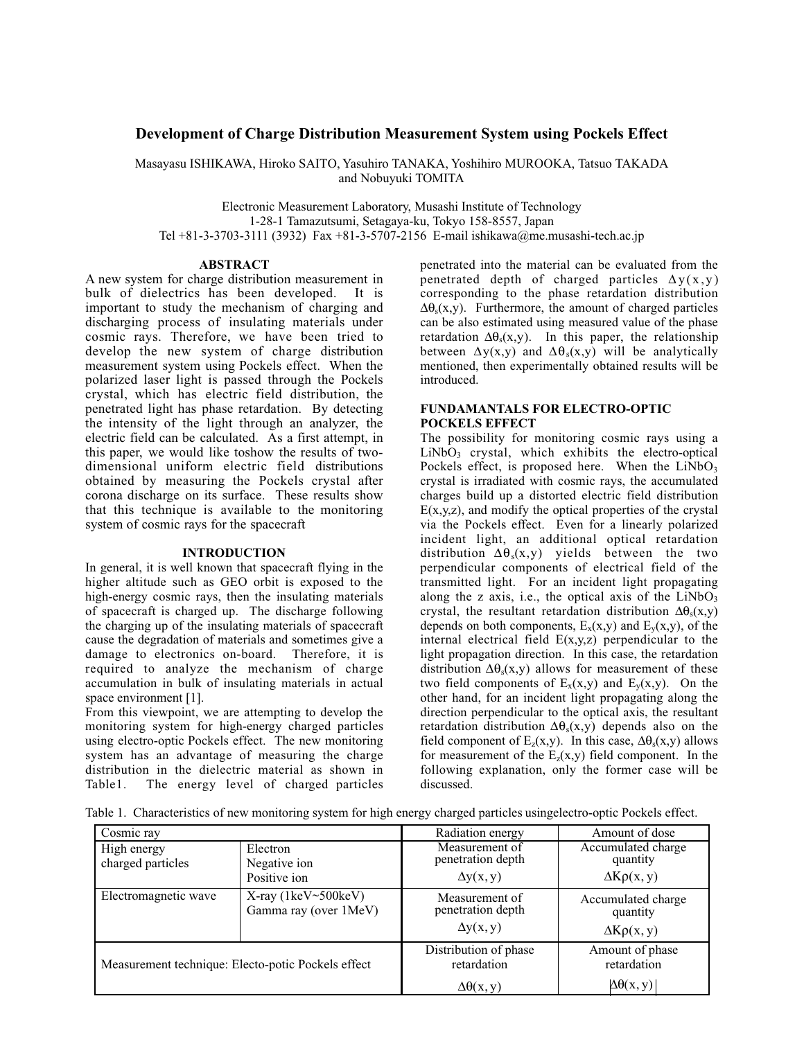# **Development of Charge Distribution Measurement System using Pockels Effect**

Masayasu ISHIKAWA, Hiroko SAITO, Yasuhiro TANAKA, Yoshihiro MUROOKA, Tatsuo TAKADA and Nobuyuki TOMITA

Electronic Measurement Laboratory, Musashi Institute of Technology 1-28-1 Tamazutsumi, Setagaya-ku, Tokyo 158-8557, Japan Tel +81-3-3703-3111 (3932) Fax +81-3-5707-2156 E-mail ishikawa@me.musashi-tech.ac.jp

### **ABSTRACT**

A new system for charge distribution measurement in bulk of dielectrics has been developed. It is important to study the mechanism of charging and discharging process of insulating materials under cosmic rays. Therefore, we have been tried to develop the new system of charge distribution measurement system using Pockels effect. When the polarized laser light is passed through the Pockels crystal, which has electric field distribution, the penetrated light has phase retardation. By detecting the intensity of the light through an analyzer, the electric field can be calculated. As a first attempt, in this paper, we would like toshow the results of twodimensional uniform electric field distributions obtained by measuring the Pockels crystal after corona discharge on its surface. These results show that this technique is available to the monitoring system of cosmic rays for the spacecraft

### **INTRODUCTION**

In general, it is well known that spacecraft flying in the higher altitude such as GEO orbit is exposed to the high-energy cosmic rays, then the insulating materials of spacecraft is charged up. The discharge following the charging up of the insulating materials of spacecraft cause the degradation of materials and sometimes give a damage to electronics on-board. Therefore, it is required to analyze the mechanism of charge accumulation in bulk of insulating materials in actual space environment [1].

From this viewpoint, we are attempting to develop the monitoring system for high-energy charged particles using electro-optic Pockels effect. The new monitoring system has an advantage of measuring the charge distribution in the dielectric material as shown in Table1. The energy level of charged particles penetrated into the material can be evaluated from the penetrated depth of charged particles  $\Delta y(x,y)$ corresponding to the phase retardation distribution  $\Delta\theta_s(x,y)$ . Furthermore, the amount of charged particles can be also estimated using measured value of the phase retardation  $\Delta\theta_s(x,y)$ . In this paper, the relationship between  $\Delta y(x,y)$  and  $\Delta \theta_s(x,y)$  will be analytically mentioned, then experimentally obtained results will be introduced.

## **FUNDAMANTALS FOR ELECTRO-OPTIC POCKELS EFFECT**

The possibility for monitoring cosmic rays using a  $LiNbO<sub>3</sub>$  crystal, which exhibits the electro-optical Pockels effect, is proposed here. When the  $LiNbO<sub>3</sub>$ crystal is irradiated with cosmic rays, the accumulated charges build up a distorted electric field distribution  $E(x,y,z)$ , and modify the optical properties of the crystal via the Pockels effect. Even for a linearly polarized incident light, an additional optical retardation distribution  $\Delta\theta_s(x,y)$  yields between the two perpendicular components of electrical field of the transmitted light. For an incident light propagating along the z axis, i.e., the optical axis of the  $LiNbO<sub>3</sub>$ crystal, the resultant retardation distribution  $\Delta\theta_s(x,y)$ depends on both components,  $E_x(x,y)$  and  $E_y(x,y)$ , of the internal electrical field  $E(x,y,z)$  perpendicular to the light propagation direction. In this case, the retardation distribution  $\Delta\theta_s(x,y)$  allows for measurement of these two field components of  $E_x(x,y)$  and  $E_y(x,y)$ . On the other hand, for an incident light propagating along the direction perpendicular to the optical axis, the resultant retardation distribution  $\Delta\theta_s(x,y)$  depends also on the field component of  $E_z(x,y)$ . In this case,  $\Delta\theta_s(x,y)$  allows for measurement of the  $E_z(x,y)$  field component. In the following explanation, only the former case will be discussed.

Table 1. Characteristics of new monitoring system for high energy charged particles usingelectro-optic Pockels effect.

| Cosmic ray                                         |                                                           | Radiation energy                                             | Amount of dose                                         |
|----------------------------------------------------|-----------------------------------------------------------|--------------------------------------------------------------|--------------------------------------------------------|
| High energy<br>charged particles                   | Electron<br>Negative ion                                  | Measurement of<br>penetration depth                          | Accumulated charge<br>quantity                         |
|                                                    | Positive ion                                              | $\Delta y(x, y)$                                             | $\Delta K\rho(x, y)$                                   |
| Electromagnetic wave                               | $X$ -ray (1 $keV \sim 500 keV$ )<br>Gamma ray (over 1MeV) | Measurement of<br>penetration depth<br>$\Delta y(x, y)$      | Accumulated charge<br>quantity<br>$\Delta K\rho(x, y)$ |
| Measurement technique: Electo-potic Pockels effect |                                                           | Distribution of phase<br>retardation<br>$\Delta\theta(x, y)$ | Amount of phase<br>retardation<br>$\Delta\theta(x, y)$ |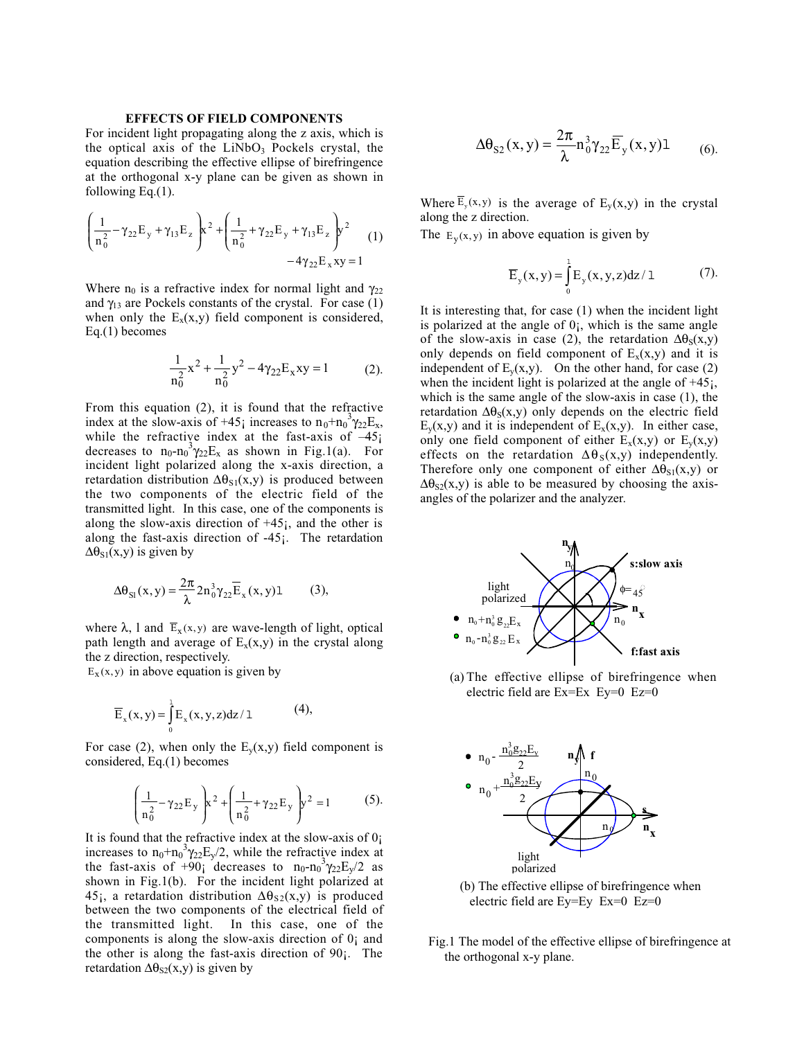#### **EFFECTS OF FIELD COMPONENTS**

For incident light propagating along the z axis, which is the optical axis of the  $LiNbO<sub>3</sub>$  Pockels crystal, the equation describing the effective ellipse of birefringence at the orthogonal x-y plane can be given as shown in following Eq.(1).

$$
\left(\frac{1}{n_0^2} - \gamma_{22} E_y + \gamma_{13} E_z\right) x^2 + \left(\frac{1}{n_0^2} + \gamma_{22} E_y + \gamma_{13} E_z\right) y^2
$$
  
-4 $\gamma_{22} E_x xy = 1$  (1)

Where  $n_0$  is a refractive index for normal light and  $\gamma_{22}$ and  $\gamma_{13}$  are Pockels constants of the crystal. For case (1) when only the  $E_x(x,y)$  field component is considered, Eq.(1) becomes

$$
\frac{1}{n_0^2}x^2 + \frac{1}{n_0^2}y^2 - 4\gamma_{22}E_x xy = 1
$$
 (2).

From this equation (2), it is found that the refractive index at the slow-axis of +45; increases to  $n_0+n_0^3\gamma_{22}E_x$ , while the refractive index at the fast-axis of  $-45$ ; decreases to  $n_0-n_0^3\gamma_{22}E_x$  as shown in Fig.1(a). For incident light polarized along the x-axis direction, a retardation distribution  $\Delta\theta_{S1}(x,y)$  is produced between the two components of the electric field of the transmitted light. In this case, one of the components is along the slow-axis direction of  $+45$ ; and the other is along the fast-axis direction of  $-45$ ; The retardation  $\Delta\theta_{S1}(x,y)$  is given by

$$
\Delta \theta_{\rm SI}(x, y) = \frac{2\pi}{\lambda} 2n_0^3 \gamma_{22} \overline{E}_x(x, y) 1 \tag{3},
$$

where  $\lambda$ , l and  $\overline{E}_x(x, y)$  are wave-length of light, optical path length and average of  $E_x(x,y)$  in the crystal along the z direction, respectively.

 $E<sub>x</sub>(x, y)$  in above equation is given by

$$
\overline{E}_x(x,y) = \int_0^1 E_x(x,y,z) dz / 1 \tag{4},
$$

For case (2), when only the  $E_y(x,y)$  field component is considered, Eq.(1) becomes

$$
\left(\frac{1}{n_0^2} - \gamma_{22} E_y\right) x^2 + \left(\frac{1}{n_0^2} + \gamma_{22} E_y\right) y^2 = 1
$$
 (5).

It is found that the refractive index at the slow-axis of  $0<sub>i</sub>$ increases to  $n_0+n_0^3\gamma_{22}E_y/2$ , while the refractive index at the fast-axis of +90<sub>i</sub> decreases to  $n_0 - n_0^3 \gamma_{22} E_y / 2$  as shown in Fig.1(b). For the incident light polarized at 45;, a retardation distribution  $\Delta\theta_{S2}(x,y)$  is produced between the two components of the electrical field of the transmitted light. In this case, one of the components is along the slow-axis direction of 0¡ and the other is along the fast-axis direction of 90¡. The retardation  $\Delta\theta_{S2}(x,y)$  is given by

$$
\Delta \theta_{S2}(x, y) = \frac{2\pi}{\lambda} n_0^3 \gamma_{22} \overline{E}_y(x, y) 1 \qquad (6).
$$

Where  $\overline{E}_y(x, y)$  is the average of  $E_y(x, y)$  in the crystal along the z direction.

The  $E_v(x, y)$  in above equation is given by

$$
\overline{E}_y(x,y) = \int_0^1 E_y(x,y,z)dz/1
$$
 (7).

It is interesting that, for case (1) when the incident light is polarized at the angle of  $0<sub>i</sub>$ , which is the same angle of the slow-axis in case (2), the retardation  $\Delta\theta_S(x,y)$ only depends on field component of  $E_x(x,y)$  and it is independent of  $E_y(x,y)$ . On the other hand, for case (2) when the incident light is polarized at the angle of  $+45$ ; which is the same angle of the slow-axis in case (1), the retardation  $\Delta\theta_{S}(x,y)$  only depends on the electric field  $E_y(x,y)$  and it is independent of  $E_x(x,y)$ . In either case, only one field component of either  $E_x(x,y)$  or  $E_y(x,y)$ effects on the retardation  $\Delta \theta_s(x,y)$  independently. Therefore only one component of either  $\Delta\theta_{S1}(x,y)$  or  $\Delta\theta_{S2}(x,y)$  is able to be measured by choosing the axisangles of the polarizer and the analyzer.



(a) The effective ellipse of birefringence when electric field are Ex=Ex Ey=0 Ez=0



(b) The effective ellipse of birefringence when electric field are Ey=Ey Ex=0 Ez=0

Fig.1 The model of the effective ellipse of birefringence at the orthogonal x-y plane.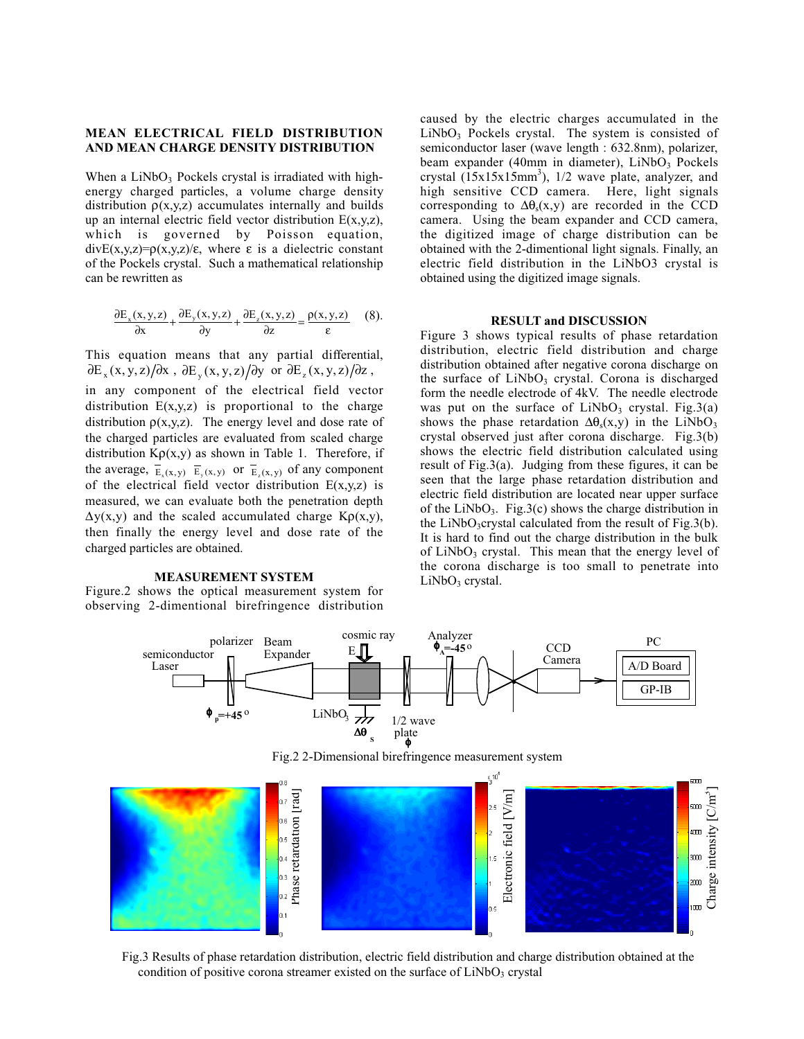## **MEAN ELECTRICAL FIELD DISTRIBUTION AND MEAN CHARGE DENSITY DISTRIBUTION**

When a  $LiNbO<sub>3</sub>$  Pockels crystal is irradiated with highenergy charged particles, a volume charge density distribution  $\rho(x,y,z)$  accumulates internally and builds up an internal electric field vector distribution E(x,y,z), which is governed by Poisson equation, divE(x,y,z)=ρ(x,y,z)/ε, where ε is a dielectric constant of the Pockels crystal. Such a mathematical relationship can be rewritten as

$$
\frac{\partial E_x(x,y,z)}{\partial x} + \frac{\partial E_y(x,y,z)}{\partial y} + \frac{\partial E_z(x,y,z)}{\partial z} = \frac{\rho(x,y,z)}{\varepsilon} \quad (8).
$$

This equation means that any partial differential,  $\partial E_x(x, y, z) / \partial x$ ,  $\partial E_y(x, y, z) / \partial y$  or  $\partial E_z(x, y, z) / \partial z$ ,

in any component of the electrical field vector distribution  $E(x,y,z)$  is proportional to the charge distribution  $p(x,y,z)$ . The energy level and dose rate of the charged particles are evaluated from scaled charge distribution  $K\rho(x,y)$  as shown in Table 1. Therefore, if the average,  $\overline{E}_x(x, y)$   $\overline{E}_y(x, y)$  or  $\overline{E}_z(x, y)$  of any component of the electrical field vector distribution  $E(x,y,z)$  is measured, we can evaluate both the penetration depth  $\Delta y(x,y)$  and the scaled accumulated charge K $\rho(x,y)$ , then finally the energy level and dose rate of the charged particles are obtained.

### **MEASUREMENT SYSTEM**

Figure.2 shows the optical measurement system for observing 2-dimentional birefringence distribution

caused by the electric charges accumulated in the LiNbO<sub>3</sub> Pockels crystal. The system is consisted of semiconductor laser (wave length : 632.8nm), polarizer, beam expander (40mm in diameter),  $LiNbO<sub>3</sub>$  Pockels crystal  $(15x15x15mm^3)$ , 1/2 wave plate, analyzer, and high sensitive CCD camera. Here, light signals corresponding to  $\Delta\theta_s(x,y)$  are recorded in the CCD camera. Using the beam expander and CCD camera, the digitized image of charge distribution can be obtained with the 2-dimentional light signals. Finally, an electric field distribution in the LiNbO3 crystal is obtained using the digitized image signals.

#### **RESULT and DISCUSSION**

Figure 3 shows typical results of phase retardation distribution, electric field distribution and charge distribution obtained after negative corona discharge on the surface of  $LiNbO<sub>3</sub>$  crystal. Corona is discharged form the needle electrode of 4kV. The needle electrode was put on the surface of  $LiNbO<sub>3</sub>$  crystal. Fig.3(a) shows the phase retardation  $\Delta\theta_s(x,y)$  in the LiNbO<sub>3</sub> crystal observed just after corona discharge. Fig.3(b) shows the electric field distribution calculated using result of Fig.3(a). Judging from these figures, it can be seen that the large phase retardation distribution and electric field distribution are located near upper surface of the LiNbO<sub>3</sub>. Fig.3(c) shows the charge distribution in the LiNbO<sub>3</sub>crystal calculated from the result of Fig.3(b). It is hard to find out the charge distribution in the bulk of LiNbO<sub>3</sub> crystal. This mean that the energy level of the corona discharge is too small to penetrate into  $LiNbO<sub>3</sub>$  crystal.





Fig.3 Results of phase retardation distribution, electric field distribution and charge distribution obtained at the condition of positive corona streamer existed on the surface of  $LiNbO<sub>3</sub>$  crystal